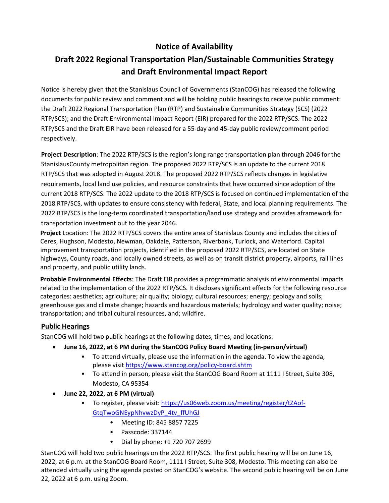# **Notice of Availability**

# **Draft 2022 Regional Transportation Plan/Sustainable Communities Strategy and Draft Environmental Impact Report**

Notice is hereby given that the Stanislaus Council of Governments (StanCOG) has released the following documents for public review and comment and will be holding public hearings to receive public comment: the Draft 2022 Regional Transportation Plan (RTP) and Sustainable Communities Strategy (SCS) (2022 RTP/SCS); and the Draft Environmental Impact Report (EIR) prepared for the 2022 RTP/SCS. The 2022 RTP/SCS and the Draft EIR have been released for a 55-day and 45-day public review/comment period respectively.

**Project Description**: The 2022 RTP/SCS is the region's long range transportation plan through 2046 for the StanislausCounty metropolitan region. The proposed 2022 RTP/SCS is an update to the current 2018 RTP/SCS that was adopted in August 2018. The proposed 2022 RTP/SCS reflects changes in legislative requirements, local land use policies, and resource constraints that have occurred since adoption of the current 2018 RTP/SCS. The 2022 update to the 2018 RTP/SCS is focused on continued implementation of the 2018 RTP/SCS, with updates to ensure consistency with federal, State, and local planning requirements. The 2022 RTP/SCS is the long-term coordinated transportation/land use strategy and provides aframework for transportation investment out to the year 2046.

**Project** Location: The 2022 RTP/SCS covers the entire area of Stanislaus County and includes the cities of Ceres, Hughson, Modesto, Newman, Oakdale, Patterson, Riverbank, Turlock, and Waterford. Capital improvement transportation projects, identified in the proposed 2022 RTP/SCS, are located on State highways, County roads, and locally owned streets, as well as on transit district property, airports, rail lines and property, and public utility lands.

**Probable Environmental Effects**: The Draft EIR provides a programmatic analysis of environmental impacts related to the implementation of the 2022 RTP/SCS. It discloses significant effects for the following resource categories: aesthetics; agriculture; air quality; biology; cultural resources; energy; geology and soils; greenhouse gas and climate change; hazards and hazardous materials; hydrology and water quality; noise; transportation; and tribal cultural resources, and; wildfire.

## **Public Hearings**

StanCOG will hold two public hearings at the following dates, times, and locations:

- **June 16, 2022, at 6 PM during the StanCOG Policy Board Meeting (in-person/virtual)**
	- To attend virtually, please use the information in the agenda. To view the agenda, please visit <https://www.stancog.org/policy-board.shtm>
	- To attend in person, please visit the StanCOG Board Room at 1111 I Street, Suite 308, Modesto, CA 95354
- **June 22, 2022, at 6 PM (virtual)**
	- To register, please visit: [https://us06web.zoom.us/meeting/register/tZAof-](https://us06web.zoom.us/meeting/register/tZAof-GtqTwoGNEypNhvwzDyP_4tv_ffUhGJ)[GtqTwoGNEypNhvwzDyP\\_4tv\\_ffUhGJ](https://us06web.zoom.us/meeting/register/tZAof-GtqTwoGNEypNhvwzDyP_4tv_ffUhGJ)
		- Meeting ID: 845 8857 7225
		- Passcode: 337144
		- Dial by phone: +1 720 707 2699

StanCOG will hold two public hearings on the 2022 RTP/SCS. The first public hearing will be on June 16, 2022, at 6 p.m. at the StanCOG Board Room, 1111 I Street, Suite 308, Modesto. This meeting can also be attended virtually using the agenda posted on StanCOG's website. The second public hearing will be on June 22, 2022 at 6 p.m. using Zoom.